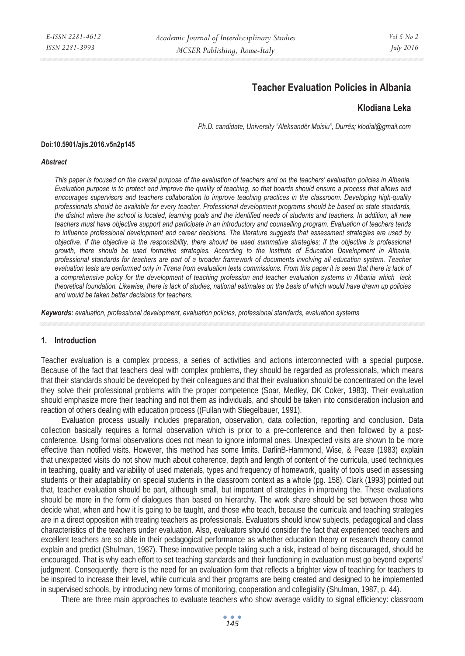*E-ISSN 2281-4612 ISSN 2281-3993* 

# **Teacher Evaluation Policies in Albania**

## **Klodiana Leka**

*Ph.D. candidate, University "Aleksandër Moisiu", Durrës; klodial@gmail.com* 

#### **Doi:10.5901/ajis.2016.v5n2p145**

#### *Abstract*

*This paper is focused on the overall purpose of the evaluation of teachers and on the teachers' evaluation policies in Albania. Evaluation purpose is to protect and improve the quality of teaching, so that boards should ensure a process that allows and encourages supervisors and teachers collaboration to improve teaching practices in the classroom. Developing high-quality professionals should be available for every teacher. Professional development programs should be based on state standards, the district where the school is located, learning goals and the identified needs of students and teachers. In addition, all new teachers must have objective support and participate in an introductory and counselling program. Evaluation of teachers tends to influence professional development and career decisions. The literature suggests that assessment strategies are used by objective. If the objective is the responsibility, there should be used summative strategies; if the objective is professional growth, there should be used formative strategies. According to the Institute of Education Development in Albania, professional standards for teachers are part of a broader framework of documents involving all education system. Teacher evaluation tests are performed only in Tirana from evaluation tests commissions. From this paper it is seen that there is lack of a comprehensive policy for the development of teaching profession and teacher evaluation systems in Albania which lack theoretical foundation. Likewise, there is lack of studies, national estimates on the basis of which would have drawn up policies and would be taken better decisions for teachers.* 

*Keywords: evaluation, professional development, evaluation policies, professional standards, evaluation systems* 

### **1. Introduction**

Teacher evaluation is a complex process, a series of activities and actions interconnected with a special purpose. Because of the fact that teachers deal with complex problems, they should be regarded as professionals, which means that their standards should be developed by their colleagues and that their evaluation should be concentrated on the level they solve their professional problems with the proper competence (Soar, Medley, DK Coker, 1983). Their evaluation should emphasize more their teaching and not them as individuals, and should be taken into consideration inclusion and reaction of others dealing with education process ((Fullan with Stiegelbauer, 1991).

Evaluation process usually includes preparation, observation, data collection, reporting and conclusion. Data collection basically requires a formal observation which is prior to a pre-conference and then followed by a postconference. Using formal observations does not mean to ignore informal ones. Unexpected visits are shown to be more effective than notified visits. However, this method has some limits. DarlinB-Hammond, Wise, & Pease (1983) explain that unexpected visits do not show much about coherence, depth and length of content of the curricula, used techniques in teaching, quality and variability of used materials, types and frequency of homework, quality of tools used in assessing students or their adaptability on special students in the classroom context as a whole (pg. 158). Clark (1993) pointed out that, teacher evaluation should be part, although small, but important of strategies in improving the. These evaluations should be more in the form of dialogues than based on hierarchy. The work share should be set between those who decide what, when and how it is going to be taught, and those who teach, because the curricula and teaching strategies are in a direct opposition with treating teachers as professionals. Evaluators should know subjects, pedagogical and class characteristics of the teachers under evaluation. Also, evaluators should consider the fact that experienced teachers and excellent teachers are so able in their pedagogical performance as whether education theory or research theory cannot explain and predict (Shulman, 1987). These innovative people taking such a risk, instead of being discouraged, should be encouraged. That is why each effort to set teaching standards and their functioning in evaluation must go beyond experts' judgment. Consequently, there is the need for an evaluation form that reflects a brighter view of teaching for teachers to be inspired to increase their level, while curricula and their programs are being created and designed to be implemented in supervised schools, by introducing new forms of monitoring, cooperation and collegiality (Shulman, 1987, p. 44).

There are three main approaches to evaluate teachers who show average validity to signal efficiency: classroom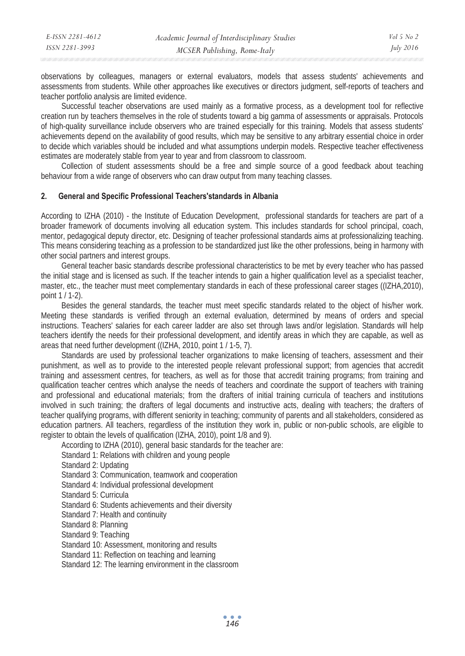observations by colleagues, managers or external evaluators, models that assess students' achievements and assessments from students. While other approaches like executives or directors judgment, self-reports of teachers and teacher portfolio analysis are limited evidence.

Successful teacher observations are used mainly as a formative process, as a development tool for reflective creation run by teachers themselves in the role of students toward a big gamma of assessments or appraisals. Protocols of high-quality surveillance include observers who are trained especially for this training. Models that assess students' achievements depend on the availability of good results, which may be sensitive to any arbitrary essential choice in order to decide which variables should be included and what assumptions underpin models. Respective teacher effectiveness estimates are moderately stable from year to year and from classroom to classroom.

Collection of student assessments should be a free and simple source of a good feedback about teaching behaviour from a wide range of observers who can draw output from many teaching classes.

#### **2. General and Specific Professional Teachers'standards in Albania**

According to IZHA (2010) - the Institute of Education Development, professional standards for teachers are part of a broader framework of documents involving all education system. This includes standards for school principal, coach, mentor, pedagogical deputy director, etc. Designing of teacher professional standards aims at professionalizing teaching. This means considering teaching as a profession to be standardized just like the other professions, being in harmony with other social partners and interest groups.

General teacher basic standards describe professional characteristics to be met by every teacher who has passed the initial stage and is licensed as such. If the teacher intends to gain a higher qualification level as a specialist teacher, master, etc., the teacher must meet complementary standards in each of these professional career stages ((IZHA,2010), point 1 / 1-2).

Besides the general standards, the teacher must meet specific standards related to the object of his/her work. Meeting these standards is verified through an external evaluation, determined by means of orders and special instructions. Teachers' salaries for each career ladder are also set through laws and/or legislation. Standards will help teachers identify the needs for their professional development, and identify areas in which they are capable, as well as areas that need further development ((IZHA, 2010, point 1 / 1-5, 7).

Standards are used by professional teacher organizations to make licensing of teachers, assessment and their punishment, as well as to provide to the interested people relevant professional support; from agencies that accredit training and assessment centres, for teachers, as well as for those that accredit training programs; from training and qualification teacher centres which analyse the needs of teachers and coordinate the support of teachers with training and professional and educational materials; from the drafters of initial training curricula of teachers and institutions involved in such training; the drafters of legal documents and instructive acts, dealing with teachers; the drafters of teacher qualifying programs, with different seniority in teaching; community of parents and all stakeholders, considered as education partners. All teachers, regardless of the institution they work in, public or non-public schools, are eligible to register to obtain the levels of qualification (IZHA, 2010), point 1/8 and 9).

According to IZHA (2010), general basic standards for the teacher are:

Standard 1: Relations with children and young people

Standard 2: Updating

Standard 3: Communication, teamwork and cooperation

Standard 4: Individual professional development

Standard 5: Curricula

Standard 6: Students achievements and their diversity

Standard 7: Health and continuity

Standard 8: Planning

Standard 9: Teaching

Standard 10: Assessment, monitoring and results

Standard 11: Reflection on teaching and learning

Standard 12: The learning environment in the classroom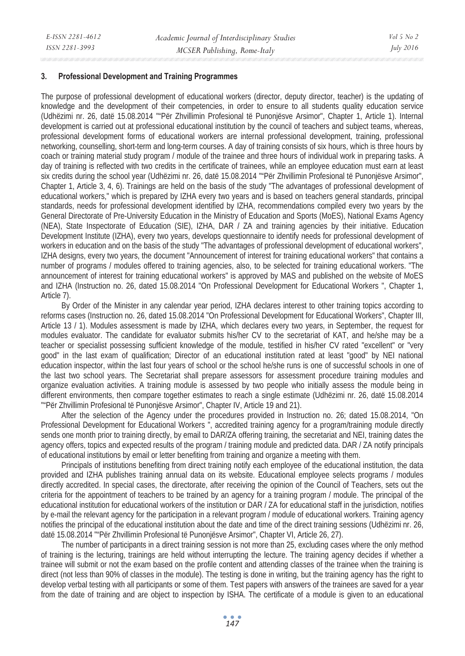#### **3. Professional Development and Training Programmes**

The purpose of professional development of educational workers (director, deputy director, teacher) is the updating of knowledge and the development of their competencies, in order to ensure to all students quality education service (Udhëzimi nr. 26, datë 15.08.2014 ""Për Zhvillimin Profesional të Punonjësve Arsimor", Chapter 1, Article 1). Internal development is carried out at professional educational institution by the council of teachers and subject teams, whereas, professional development forms of educational workers are internal professional development, training, professional networking, counselling, short-term and long-term courses. A day of training consists of six hours, which is three hours by coach or training material study program / module of the trainee and three hours of individual work in preparing tasks. A day of training is reflected with two credits in the certificate of trainees, while an employee education must earn at least six credits during the school year (Udhëzimi nr. 26, datë 15.08.2014 ""Për Zhvillimin Profesional të Punonjësve Arsimor", Chapter 1, Article 3, 4, 6). Trainings are held on the basis of the study "The advantages of professional development of educational workers," which is prepared by IZHA every two years and is based on teachers general standards, principal standards, needs for professional development identified by IZHA, recommendations compiled every two years by the General Directorate of Pre-University Education in the Ministry of Education and Sports (MoES), National Exams Agency (NEA), State Inspectorate of Education (SIE), IZHA, DAR / ZA and training agencies by their initiative. Education Development Institute (IZHA), every two years, develops questionnaire to identify needs for professional development of workers in education and on the basis of the study "The advantages of professional development of educational workers", IZHA designs, every two years, the document "Announcement of interest for training educational workers" that contains a number of programs / modules offered to training agencies, also, to be selected for training educational workers. "The announcement of interest for training educational workers" is approved by MAS and published on the website of MoES and IZHA (Instruction no. 26, dated 15.08.2014 "On Professional Development for Educational Workers ", Chapter 1, Article 7).

By Order of the Minister in any calendar year period, IZHA declares interest to other training topics according to reforms cases (Instruction no. 26, dated 15.08.2014 "On Professional Development for Educational Workers", Chapter III, Article 13 / 1). Modules assessment is made by IZHA, which declares every two years, in September, the request for modules evaluator. The candidate for evaluator submits his/her CV to the secretariat of KAT, and he/she may be a teacher or specialist possessing sufficient knowledge of the module, testified in his/her CV rated "excellent" or "very good" in the last exam of qualification; Director of an educational institution rated at least "good" by NEI national education inspector, within the last four years of school or the school he/she runs is one of successful schools in one of the last two school years. The Secretariat shall prepare assessors for assessment procedure training modules and organize evaluation activities. A training module is assessed by two people who initially assess the module being in different environments, then compare together estimates to reach a single estimate (Udhëzimi nr. 26, datë 15.08.2014 ""Për Zhvillimin Profesional të Punonjësve Arsimor", Chapter IV, Article 19 and 21).

After the selection of the Agency under the procedures provided in Instruction no. 26; dated 15.08.2014, "On Professional Development for Educational Workers ", accredited training agency for a program/training module directly sends one month prior to training directly, by email to DAR/ZA offering training, the secretariat and NEI, training dates the agency offers, topics and expected results of the program / training module and predicted data. DAR / ZA notify principals of educational institutions by email or letter benefiting from training and organize a meeting with them.

Principals of institutions benefiting from direct training notify each employee of the educational institution, the data provided and IZHA publishes training annual data on its website. Educational employee selects programs / modules directly accredited. In special cases, the directorate, after receiving the opinion of the Council of Teachers, sets out the criteria for the appointment of teachers to be trained by an agency for a training program / module. The principal of the educational institution for educational workers of the institution or DAR / ZA for educational staff in the jurisdiction, notifies by e-mail the relevant agency for the participation in a relevant program / module of educational workers. Training agency notifies the principal of the educational institution about the date and time of the direct training sessions (Udhëzimi nr. 26, datë 15.08.2014 ""Për Zhvillimin Profesional të Punonjësve Arsimor", Chapter VI, Article 26, 27).

The number of participants in a direct training session is not more than 25, excluding cases where the only method of training is the lecturing, trainings are held without interrupting the lecture. The training agency decides if whether a trainee will submit or not the exam based on the profile content and attending classes of the trainee when the training is direct (not less than 90% of classes in the module). The testing is done in writing, but the training agency has the right to develop verbal testing with all participants or some of them. Test papers with answers of the trainees are saved for a year from the date of training and are object to inspection by ISHA. The certificate of a module is given to an educational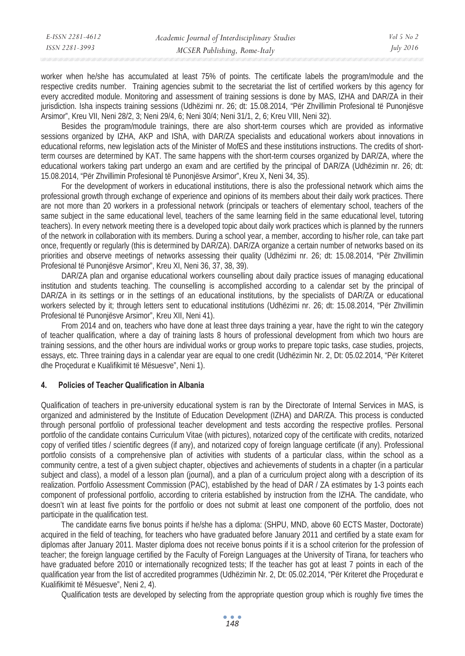| E-ISSN 2281-4612 | Academic Journal of Interdisciplinary Studies | Vol 5 No 2       |
|------------------|-----------------------------------------------|------------------|
| ISSN 2281-3993   | MCSER Publishing, Rome-Italy                  | <i>July 2016</i> |

worker when he/she has accumulated at least 75% of points. The certificate labels the program/module and the respective credits number. Training agencies submit to the secretariat the list of certified workers by this agency for every accredited module. Monitoring and assessment of training sessions is done by MAS, IZHA and DAR/ZA in their jurisdiction. Isha inspects training sessions (Udhëzimi nr. 26; dt: 15.08.2014, "Për Zhvillimin Profesional të Punonjësve Arsimor", Kreu VII, Neni 28/2, 3; Neni 29/4, 6; Neni 30/4; Neni 31/1, 2, 6; Kreu VIII, Neni 32).

Besides the program/module trainings, there are also short-term courses which are provided as informative sessions organized by IZHA, AKP and IShA, with DAR/ZA specialists and educational workers about innovations in educational reforms, new legislation acts of the Minister of MofES and these institutions instructions. The credits of shortterm courses are determined by KAT. The same happens with the short-term courses organized by DAR/ZA, where the educational workers taking part undergo an exam and are certified by the principal of DAR/ZA (Udhëzimin nr. 26; dt: 15.08.2014, "Për Zhvillimin Profesional të Punonjësve Arsimor", Kreu X, Neni 34, 35).

For the development of workers in educational institutions, there is also the professional network which aims the professional growth through exchange of experience and opinions of its members about their daily work practices. There are not more than 20 workers in a professional network (principals or teachers of elementary school, teachers of the same subject in the same educational level, teachers of the same learning field in the same educational level, tutoring teachers). In every network meeting there is a developed topic about daily work practices which is planned by the runners of the network in collaboration with its members. During a school year, a member, according to his/her role, can take part once, frequently or regularly (this is determined by DAR/ZA). DAR/ZA organize a certain number of networks based on its priorities and observe meetings of networks assessing their quality (Udhëzimi nr. 26; dt: 15.08.2014, "Për Zhvillimin Profesional të Punonjësve Arsimor", Kreu XI, Neni 36, 37, 38, 39).

DAR/ZA plan and organise educational workers counselling about daily practice issues of managing educational institution and students teaching. The counselling is accomplished according to a calendar set by the principal of DAR/ZA in its settings or in the settings of an educational institutions, by the specialists of DAR/ZA or educational workers selected by it; through letters sent to educational institutions (Udhëzimi nr. 26; dt: 15.08.2014, "Për Zhvillimin Profesional të Punonjësve Arsimor", Kreu XII, Neni 41).

From 2014 and on, teachers who have done at least three days training a year, have the right to win the category of teacher qualification, where a day of training lasts 8 hours of professional development from which two hours are training sessions, and the other hours are individual works or group works to prepare topic tasks, case studies, projects, essays, etc. Three training days in a calendar year are equal to one credit (Udhëzimin Nr. 2, Dt: 05.02.2014, "Për Kriteret dhe Proçedurat e Kualifikimit të Mësuesve", Neni 1).

### **4. Policies of Teacher Qualification in Albania**

Qualification of teachers in pre-university educational system is ran by the Directorate of Internal Services in MAS, is organized and administered by the Institute of Education Development (IZHA) and DAR/ZA. This process is conducted through personal portfolio of professional teacher development and tests according the respective profiles. Personal portfolio of the candidate contains Curriculum Vitae (with pictures), notarized copy of the certificate with credits, notarized copy of verified titles / scientific degrees (if any), and notarized copy of foreign language certificate (if any). Professional portfolio consists of a comprehensive plan of activities with students of a particular class, within the school as a community centre, a test of a given subject chapter, objectives and achievements of students in a chapter (in a particular subject and class), a model of a lesson plan (journal), and a plan of a curriculum project along with a description of its realization. Portfolio Assessment Commission (PAC), established by the head of DAR / ZA estimates by 1-3 points each component of professional portfolio, according to criteria established by instruction from the IZHA. The candidate, who doesn't win at least five points for the portfolio or does not submit at least one component of the portfolio, does not participate in the qualification test.

The candidate earns five bonus points if he/she has a diploma: (SHPU, MND, above 60 ECTS Master, Doctorate) acquired in the field of teaching, for teachers who have graduated before January 2011 and certified by a state exam for diplomas after January 2011. Master diploma does not receive bonus points if it is a school criterion for the profession of teacher; the foreign language certified by the Faculty of Foreign Languages at the University of Tirana, for teachers who have graduated before 2010 or internationally recognized tests; If the teacher has got at least 7 points in each of the qualification year from the list of accredited programmes (Udhëzimin Nr. 2, Dt: 05.02.2014, "Për Kriteret dhe Proçedurat e Kualifikimit të Mësuesve", Neni 2, 4).

Qualification tests are developed by selecting from the appropriate question group which is roughly five times the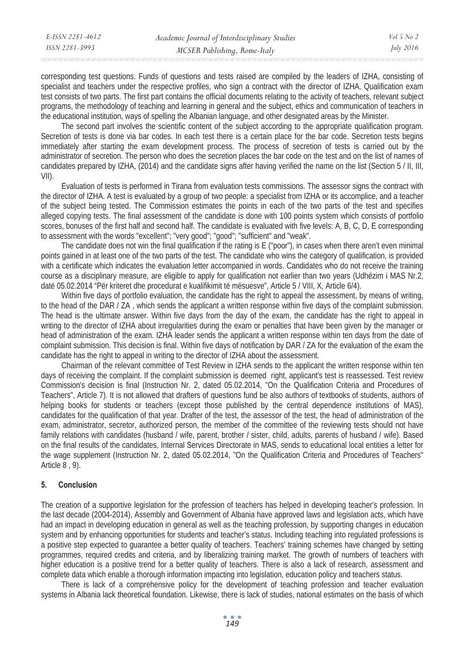|                | Academic Journal of Interdisciplinary Studies | Vol 5 No 2       |
|----------------|-----------------------------------------------|------------------|
| ISSN 2281-3993 | MCSER Publishing, Rome-Italy                  | <i>July</i> 2016 |

corresponding test questions. Funds of questions and tests raised are compiled by the leaders of IZHA, consisting of specialist and teachers under the respective profiles, who sign a contract with the director of IZHA. Qualification exam test consists of two parts. The first part contains the official documents relating to the activity of teachers, relevant subject programs, the methodology of teaching and learning in general and the subject, ethics and communication of teachers in the educational institution, ways of spelling the Albanian language, and other designated areas by the Minister.

The second part involves the scientific content of the subject according to the appropriate qualification program. Secretion of tests is done via bar codes. In each test there is a certain place for the bar code. Secretion tests begins immediately after starting the exam development process. The process of secretion of tests is carried out by the administrator of secretion. The person who does the secretion places the bar code on the test and on the list of names of candidates prepared by IZHA, (2014) and the candidate signs after having verified the name on the list (Section 5 / II, III, VII).

Evaluation of tests is performed in Tirana from evaluation tests commissions. The assessor signs the contract with the director of IZHA. A test is evaluated by a group of two people: a specialist from IZHA or its accomplice, and a teacher of the subject being tested. The Commission estimates the points in each of the two parts of the test and specifies alleged copying tests. The final assessment of the candidate is done with 100 points system which consists of portfolio scores, bonuses of the first half and second half. The candidate is evaluated with five levels: A, B, C, D, E corresponding to assessment with the words "excellent"; "very good"; "good"; "sufficient" and "weak".

The candidate does not win the final qualification if the rating is E ("poor"), in cases when there aren't even minimal points gained in at least one of the two parts of the test. The candidate who wins the category of qualification, is provided with a certificate which indicates the evaluation letter accompanied in words. Candidates who do not receive the training course as a disciplinary measure, are eligible to apply for qualification not earlier than two years (Udhëzim i MAS Nr.2, datë 05.02.2014 "Për kriteret dhe procedurat e kualifikimit të mësuesve", Article 5 / VIII, X, Article 6/4).

Within five days of portfolio evaluation, the candidate has the right to appeal the assessment, by means of writing, to the head of the DAR / ZA , which sends the applicant a written response within five days of the complaint submission. The head is the ultimate answer. Within five days from the day of the exam, the candidate has the right to appeal in writing to the director of IZHA about irregularities during the exam or penalties that have been given by the manager or head of administration of the exam. IZHA leader sends the applicant a written response within ten days from the date of complaint submission. This decision is final. Within five days of notification by DAR / ZA for the evaluation of the exam the candidate has the right to appeal in writing to the director of IZHA about the assessment.

Chairman of the relevant committee of Test Review in IZHA sends to the applicant the written response within ten days of receiving the complaint. If the complaint submission is deemed right, applicant's test is reassessed. Test review Commission's decision is final (Instruction Nr. 2, dated 05.02.2014, "On the Qualification Criteria and Procedures of Teachers", Article 7). It is not allowed that drafters of questions fund be also authors of textbooks of students, authors of helping books for students or teachers (except those published by the central dependence institutions of MAS), candidates for the qualification of that year. Drafter of the test, the assessor of the test, the head of administration of the exam, administrator, secretor, authorized person, the member of the committee of the reviewing tests should not have family relations with candidates (husband / wife, parent, brother / sister, child, adults, parents of husband / wife). Based on the final results of the candidates, Internal Services Directorate in MAS, sends to educational local entities a letter for the wage supplement (Instruction Nr. 2, dated 05.02.2014, "On the Qualification Criteria and Procedures of Teachers" Article  $8$ , 9).

### **5. Conclusion**

The creation of a supportive legislation for the profession of teachers has helped in developing teacher's profession. In the last decade (2004-2014), Assembly and Government of Albania have approved laws and legislation acts, which have had an impact in developing education in general as well as the teaching profession, by supporting changes in education system and by enhancing opportunities for students and teacher's status. Including teaching into regulated professions is a positive step expected to guarantee a better quality of teachers. Teachers' training schemes have changed by setting programmes, required credits and criteria, and by liberalizing training market. The growth of numbers of teachers with higher education is a positive trend for a better quality of teachers. There is also a lack of research, assessment and complete data which enable a thorough information impacting into legislation, education policy and teachers status.

There is lack of a comprehensive policy for the development of teaching profession and teacher evaluation systems in Albania lack theoretical foundation. Likewise, there is lack of studies, national estimates on the basis of which